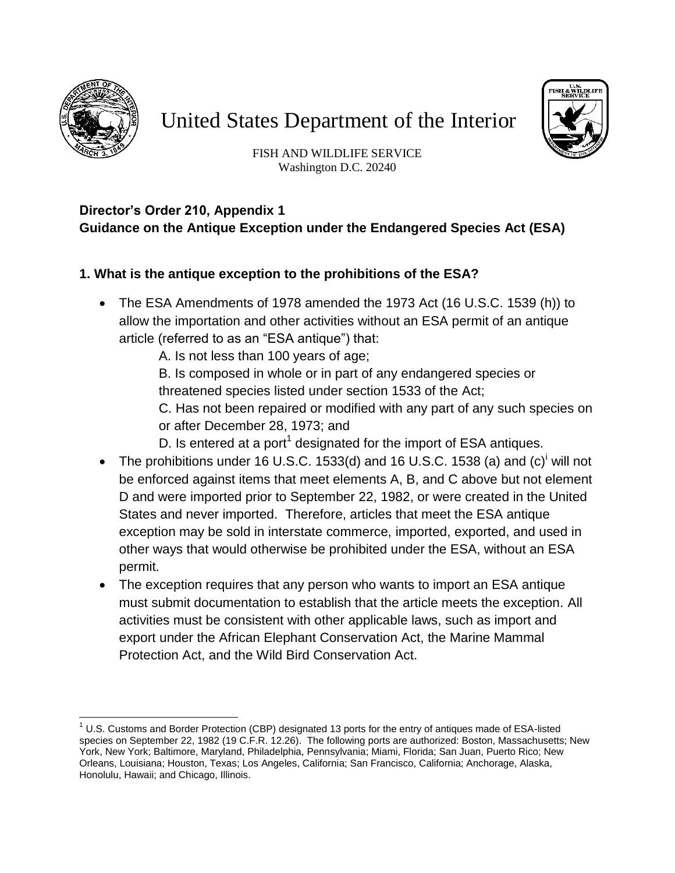

# United States Department of the Interior



FISH AND WILDLIFE SERVICE Washington D.C. 20240

### **Director's Order 210, Appendix 1 Guidance on the Antique Exception under the Endangered Species Act (ESA)**

## **1. What is the antique exception to the prohibitions of the ESA?**

- The ESA Amendments of 1978 amended the 1973 Act (16 U.S.C. 1539 (h)) to allow the importation and other activities without an ESA permit of an antique article (referred to as an "ESA antique") that:
	- A. Is not less than 100 years of age;

B. Is composed in whole or in part of any endangered species or threatened species listed under section 1533 of the Act;

C. Has not been repaired or modified with any part of any such species on or after December 28, 1973; and

- <span id="page-0-0"></span>D. Is entered at a port<sup>1</sup> designated for the import of ESA antiques.
- The prohibitions under 16 U.S.C. 1533(d[\)](#page-1-0) and 16 U.S.C. 1538 (a) and  $(c)^{i}$  will not be enforced against items that meet elements A, B, and C above but not element D and were imported prior to September 22, 1982, or were created in the United States and never imported. Therefore, articles that meet the ESA antique exception may be sold in interstate commerce, imported, exported, and used in other ways that would otherwise be prohibited under the ESA, without an ESA permit.
- The exception requires that any person who wants to import an ESA antique must submit documentation to establish that the article meets the exception. All activities must be consistent with other applicable laws, such as import and export under the African Elephant Conservation Act, the Marine Mammal Protection Act, and the Wild Bird Conservation Act.

 $\overline{\phantom{a}}$  $1$  U.S. Customs and Border Protection (CBP) designated 13 ports for the entry of antiques made of ESA-listed species on September 22, 1982 (19 C.F.R. 12.26). The following ports are authorized: Boston, Massachusetts; New York, New York; Baltimore, Maryland, Philadelphia, Pennsylvania; Miami, Florida; San Juan, Puerto Rico; New Orleans, Louisiana; Houston, Texas; Los Angeles, California; San Francisco, California; Anchorage, Alaska, Honolulu, Hawaii; and Chicago, Illinois.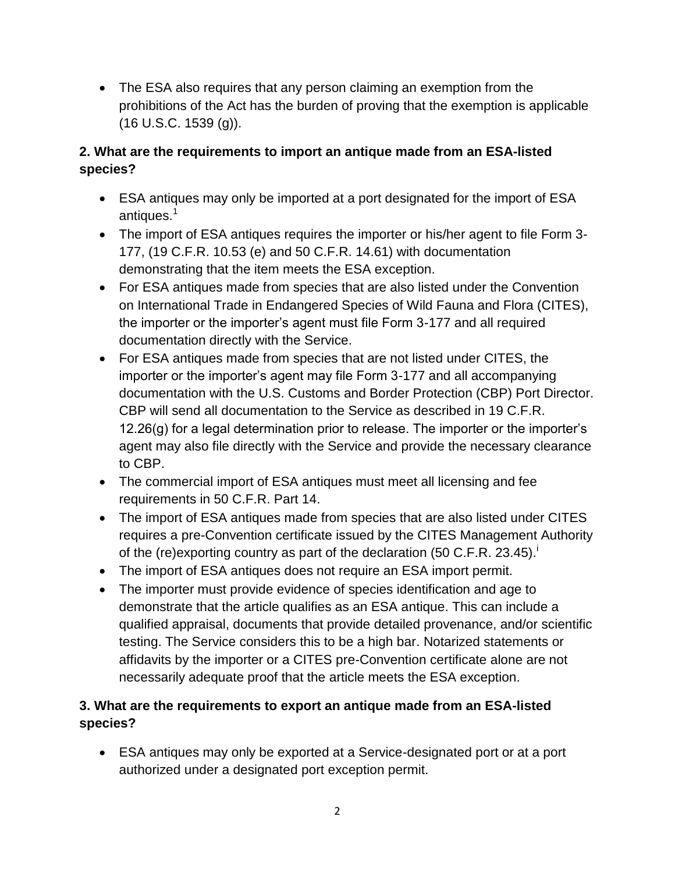The ESA also requires that any person claiming an exemption from the prohibitions of the Act has the burden of proving that the exemption is applicable (16 U.S.C. 1539 (g)).

# **2. What are the requirements to import an antique made from an ESA-listed species?**

- ESA antiques may only be imported at a port designated for the import of ESA antiques[.](#page-0-0)<sup>1</sup>
- The import of ESA antiques requires the importer or his/her agent to file Form 3- 177, (19 C.F.R. 10.53 (e) and 50 C.F.R. 14.61) with documentation demonstrating that the item meets the ESA exception.
- For ESA antiques made from species that are also listed under the Convention on International Trade in Endangered Species of Wild Fauna and Flora (CITES), the importer or the importer's agent must file Form 3-177 and all required documentation directly with the Service.
- For ESA antiques made from species that are not listed under CITES, the importer or the importer's agent may file Form 3-177 and all accompanying documentation with the U.S. Customs and Border Protection (CBP) Port Director. CBP will send all documentation to the Service as described in 19 C.F.R. 12.26(g) for a legal determination prior to release. The importer or the importer's agent may also file directly with the Service and provide the necessary clearance to CBP.
- The commercial import of ESA antiques must meet all licensing and fee requirements in 50 C.F.R. Part 14.
- The import of ESA antiques made from species that are also listed under CITES requires a pre-Convention certificate issued by the CITES Management Authority of the (re)exporting country as part of the declaration  $(50 \text{ C.F.R. } 23.45)$ .
- <span id="page-1-0"></span>The import of ESA antiques does not require an ESA import permit.
- The importer must provide evidence of species identification and age to demonstrate that the article qualifies as an ESA antique. This can include a qualified appraisal, documents that provide detailed provenance, and/or scientific testing. The Service considers this to be a high bar. Notarized statements or affidavits by the importer or a CITES pre-Convention certificate alone are not necessarily adequate proof that the article meets the ESA exception.

## **3. What are the requirements to export an antique made from an ESA-listed species?**

 ESA antiques may only be exported at a Service-designated port or at a port authorized under a designated port exception permit.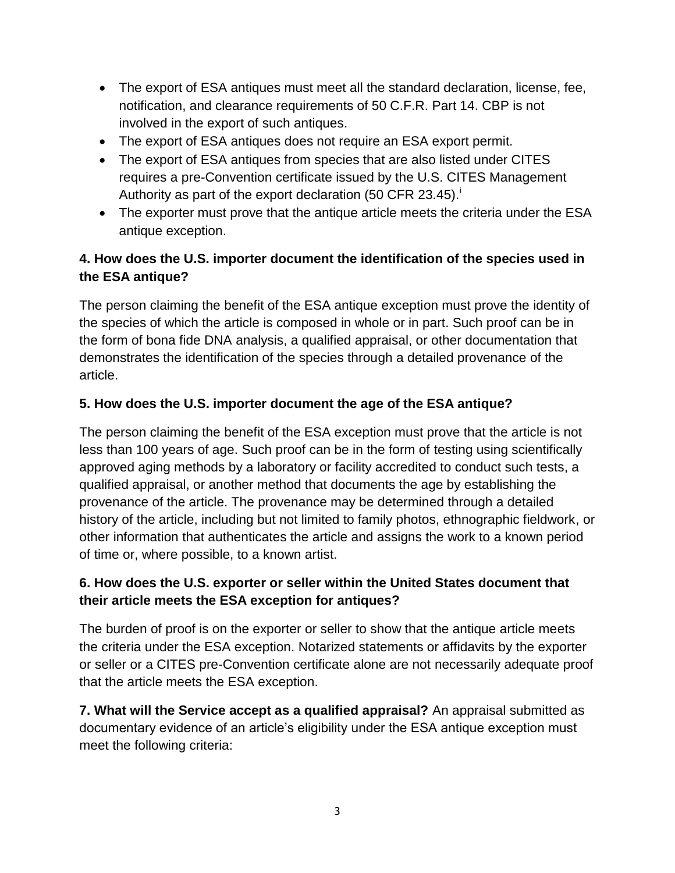- The export of ESA antiques must meet all the standard declaration, license, fee, notification, and clearance requirements of 50 C.F.R. Part 14. CBP is not involved in the export of such antiques.
- The export of ESA antiques does not require an ESA export permit.
- The export of ESA antiques from species that are also listed under CITES requires a pre-Convention certificate issued by the U.S. CITES Management Authority as part of the export declaration (50 CFR 23.45).
- The exporter must prove that the antique article meets the criteria under the ESA antique exception.

# **4. How does the U.S. importer document the identification of the species used in the ESA antique?**

The person claiming the benefit of the ESA antique exception must prove the identity of the species of which the article is composed in whole or in part. Such proof can be in the form of bona fide DNA analysis, a qualified appraisal, or other documentation that demonstrates the identification of the species through a detailed provenance of the article.

## **5. How does the U.S. importer document the age of the ESA antique?**

The person claiming the benefit of the ESA exception must prove that the article is not less than 100 years of age. Such proof can be in the form of testing using scientifically approved aging methods by a laboratory or facility accredited to conduct such tests, a qualified appraisal, or another method that documents the age by establishing the provenance of the article. The provenance may be determined through a detailed history of the article, including but not limited to family photos, ethnographic fieldwork, or other information that authenticates the article and assigns the work to a known period of time or, where possible, to a known artist.

### **6. How does the U.S. exporter or seller within the United States document that their article meets the ESA exception for antiques?**

The burden of proof is on the exporter or seller to show that the antique article meets the criteria under the ESA exception. Notarized statements or affidavits by the exporter or seller or a CITES pre-Convention certificate alone are not necessarily adequate proof that the article meets the ESA exception.

**7. What will the Service accept as a qualified appraisal?** An appraisal submitted as documentary evidence of an article's eligibility under the ESA antique exception must meet the following criteria: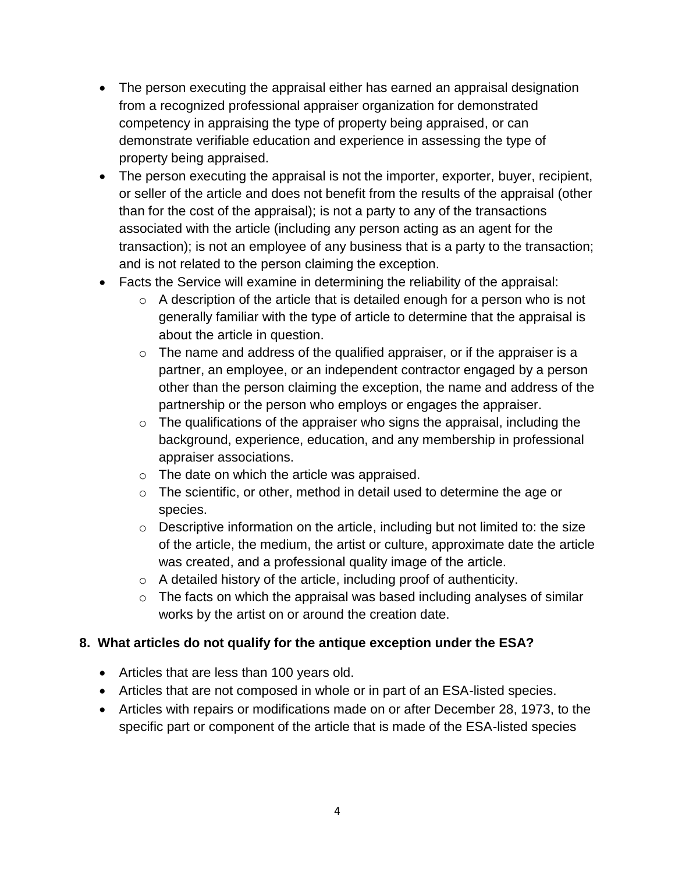- The person executing the appraisal either has earned an appraisal designation from a recognized professional appraiser organization for demonstrated competency in appraising the type of property being appraised, or can demonstrate verifiable education and experience in assessing the type of property being appraised.
- The person executing the appraisal is not the importer, exporter, buyer, recipient, or seller of the article and does not benefit from the results of the appraisal (other than for the cost of the appraisal); is not a party to any of the transactions associated with the article (including any person acting as an agent for the transaction); is not an employee of any business that is a party to the transaction; and is not related to the person claiming the exception.
- Facts the Service will examine in determining the reliability of the appraisal:
	- $\circ$  A description of the article that is detailed enough for a person who is not generally familiar with the type of article to determine that the appraisal is about the article in question.
	- $\circ$  The name and address of the qualified appraiser, or if the appraiser is a partner, an employee, or an independent contractor engaged by a person other than the person claiming the exception, the name and address of the partnership or the person who employs or engages the appraiser.
	- $\circ$  The qualifications of the appraiser who signs the appraisal, including the background, experience, education, and any membership in professional appraiser associations.
	- o The date on which the article was appraised.
	- o The scientific, or other, method in detail used to determine the age or species.
	- o Descriptive information on the article, including but not limited to: the size of the article, the medium, the artist or culture, approximate date the article was created, and a professional quality image of the article.
	- $\circ$  A detailed history of the article, including proof of authenticity.
	- $\circ$  The facts on which the appraisal was based including analyses of similar works by the artist on or around the creation date.

## **8. What articles do not qualify for the antique exception under the ESA?**

- Articles that are less than 100 years old.
- Articles that are not composed in whole or in part of an ESA-listed species.
- Articles with repairs or modifications made on or after December 28, 1973, to the specific part or component of the article that is made of the ESA-listed species